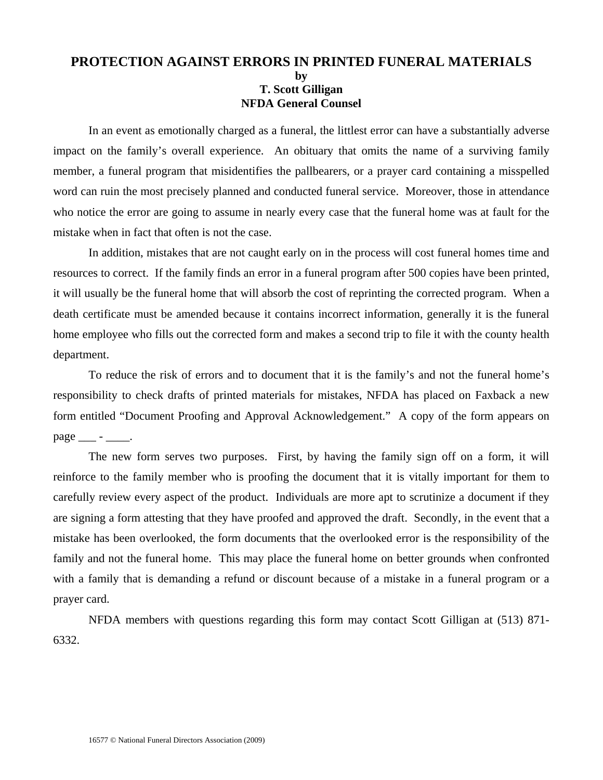#### **PROTECTION AGAINST ERRORS IN PRINTED FUNERAL MATERIALS by T. Scott Gilligan NFDA General Counsel**

In an event as emotionally charged as a funeral, the littlest error can have a substantially adverse impact on the family's overall experience. An obituary that omits the name of a surviving family member, a funeral program that misidentifies the pallbearers, or a prayer card containing a misspelled word can ruin the most precisely planned and conducted funeral service. Moreover, those in attendance who notice the error are going to assume in nearly every case that the funeral home was at fault for the mistake when in fact that often is not the case.

 In addition, mistakes that are not caught early on in the process will cost funeral homes time and resources to correct. If the family finds an error in a funeral program after 500 copies have been printed, it will usually be the funeral home that will absorb the cost of reprinting the corrected program. When a death certificate must be amended because it contains incorrect information, generally it is the funeral home employee who fills out the corrected form and makes a second trip to file it with the county health department.

 To reduce the risk of errors and to document that it is the family's and not the funeral home's responsibility to check drafts of printed materials for mistakes, NFDA has placed on Faxback a new form entitled "Document Proofing and Approval Acknowledgement." A copy of the form appears on page \_\_\_ - \_\_\_\_.

 The new form serves two purposes. First, by having the family sign off on a form, it will reinforce to the family member who is proofing the document that it is vitally important for them to carefully review every aspect of the product. Individuals are more apt to scrutinize a document if they are signing a form attesting that they have proofed and approved the draft. Secondly, in the event that a mistake has been overlooked, the form documents that the overlooked error is the responsibility of the family and not the funeral home. This may place the funeral home on better grounds when confronted with a family that is demanding a refund or discount because of a mistake in a funeral program or a prayer card.

 NFDA members with questions regarding this form may contact Scott Gilligan at (513) 871- 6332.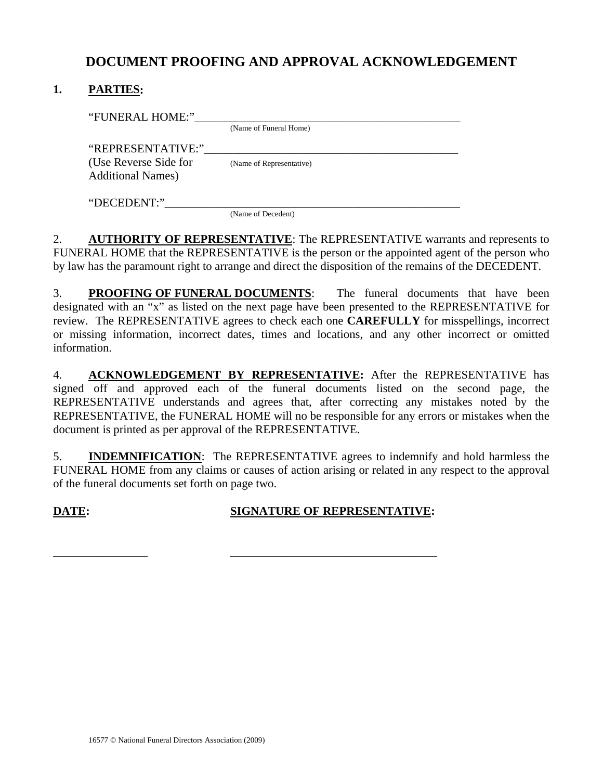# **DOCUMENT PROOFING AND APPROVAL ACKNOWLEDGEMENT**

### **1. PARTIES:**

| "FUNERAL HOME:"           |                          |
|---------------------------|--------------------------|
|                           | (Name of Funeral Home)   |
| "REPRESENTATIVE:"         |                          |
| (Use Reverse Side for     | (Name of Representative) |
| <b>Additional Names</b> ) |                          |
|                           |                          |
| "DECEDENT:"               |                          |
|                           | (Name of Decedent)       |

2. **AUTHORITY OF REPRESENTATIVE**: The REPRESENTATIVE warrants and represents to FUNERAL HOME that the REPRESENTATIVE is the person or the appointed agent of the person who by law has the paramount right to arrange and direct the disposition of the remains of the DECEDENT.

3. **PROOFING OF FUNERAL DOCUMENTS**: The funeral documents that have been designated with an "x" as listed on the next page have been presented to the REPRESENTATIVE for review. The REPRESENTATIVE agrees to check each one **CAREFULLY** for misspellings, incorrect or missing information, incorrect dates, times and locations, and any other incorrect or omitted information.

4. **ACKNOWLEDGEMENT BY REPRESENTATIVE:** After the REPRESENTATIVE has signed off and approved each of the funeral documents listed on the second page, the REPRESENTATIVE understands and agrees that, after correcting any mistakes noted by the REPRESENTATIVE, the FUNERAL HOME will no be responsible for any errors or mistakes when the document is printed as per approval of the REPRESENTATIVE.

5. **INDEMNIFICATION**: The REPRESENTATIVE agrees to indemnify and hold harmless the FUNERAL HOME from any claims or causes of action arising or related in any respect to the approval of the funeral documents set forth on page two.

### **DATE:** SIGNATURE OF REPRESENTATIVE:

\_\_\_\_\_\_\_\_\_\_\_\_\_\_\_\_ \_\_\_\_\_\_\_\_\_\_\_\_\_\_\_\_\_\_\_\_\_\_\_\_\_\_\_\_\_\_\_\_\_\_\_